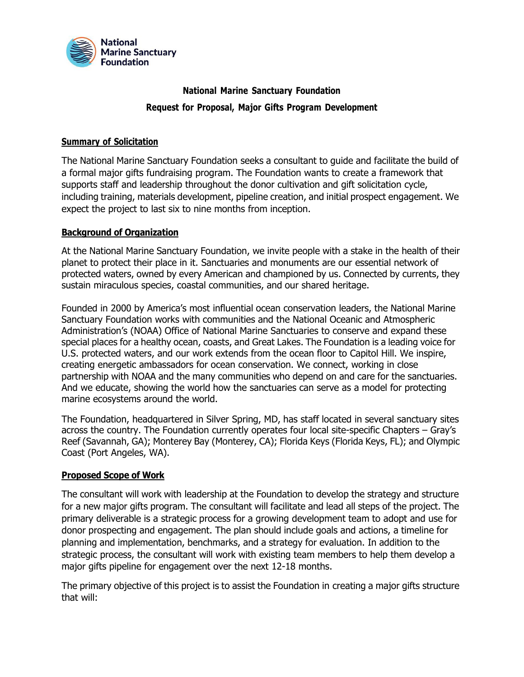

# **National Marine Sanctuary Foundation Request for Proposal, Major Gifts Program Development**

#### **Summary of Solicitation**

The National Marine Sanctuary Foundation seeks a consultant to guide and facilitate the build of a formal major gifts fundraising program. The Foundation wants to create a framework that supports staff and leadership throughout the donor cultivation and gift solicitation cycle, including training, materials development, pipeline creation, and initial prospect engagement. We expect the project to last six to nine months from inception.

### **Background of Organization**

At the National Marine Sanctuary Foundation, we invite people with a stake in the health of their planet to protect their place in it. Sanctuaries and monuments are our essential network of protected waters, owned by every American and championed by us. Connected by currents, they sustain miraculous species, coastal communities, and our shared heritage.

Founded in 2000 by America's most influential ocean conservation leaders, the National Marine Sanctuary Foundation works with communities and the National Oceanic and Atmospheric Administration's (NOAA) Office of National Marine Sanctuaries to conserve and expand these special places for a healthy ocean, coasts, and Great Lakes. The Foundation is a leading voice for U.S. protected waters, and our work extends from the ocean floor to Capitol Hill. We inspire, creating energetic ambassadors for ocean conservation. We connect, working in close partnership with NOAA and the many communities who depend on and care for the sanctuaries. And we educate, showing the world how the sanctuaries can serve as a model for protecting marine ecosystems around the world.

The Foundation, headquartered in Silver Spring, MD, has staff located in several sanctuary sites across the country. The Foundation currently operates four local site-specific Chapters – Gray's Reef (Savannah, GA); Monterey Bay (Monterey, CA); Florida Keys (Florida Keys, FL); and Olympic Coast (Port Angeles, WA).

#### **Proposed Scope of Work**

The consultant will work with leadership at the Foundation to develop the strategy and structure for a new major gifts program. The consultant will facilitate and lead all steps of the project. The primary deliverable is a strategic process for a growing development team to adopt and use for donor prospecting and engagement. The plan should include goals and actions, a timeline for planning and implementation, benchmarks, and a strategy for evaluation. In addition to the strategic process, the consultant will work with existing team members to help them develop a major gifts pipeline for engagement over the next 12-18 months.

The primary objective of this project is to assist the Foundation in creating a major gifts structure that will: